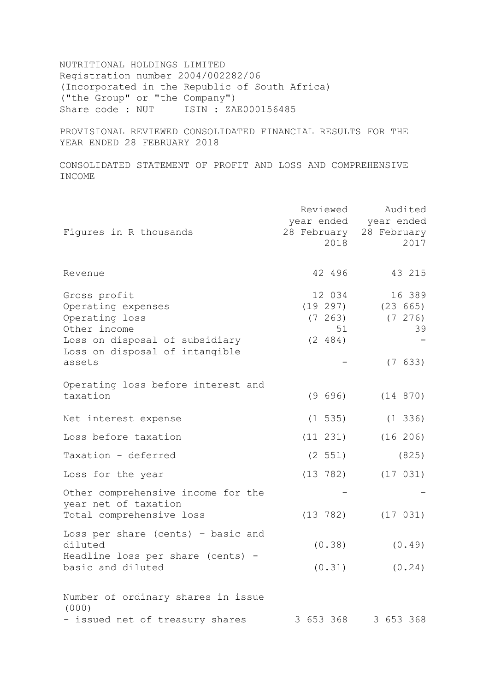NUTRITIONAL HOLDINGS LIMITED Registration number 2004/002282/06 (Incorporated in the Republic of South Africa) ("the Group" or "the Company") Share code : NUT ISIN : ZAE000156485

PROVISIONAL REVIEWED CONSOLIDATED FINANCIAL RESULTS FOR THE YEAR ENDED 28 FEBRUARY 2018

CONSOLIDATED STATEMENT OF PROFIT AND LOSS AND COMPREHENSIVE INCOME

| Figures in R thousands                                                                                                                             | Reviewed<br>28 February<br>2018                | Audited<br>year ended year ended<br>28 February<br>2017 |
|----------------------------------------------------------------------------------------------------------------------------------------------------|------------------------------------------------|---------------------------------------------------------|
| Revenue                                                                                                                                            | 42 496                                         | 43 215                                                  |
| Gross profit<br>Operating expenses<br>Operating loss<br>Other income<br>Loss on disposal of subsidiary<br>Loss on disposal of intangible<br>assets | 12 034<br>(19 297)<br>(7 263)<br>51<br>(2 484) | 16 389<br>(23 665)<br>(7, 276)<br>39<br>(7 633)         |
| Operating loss before interest and<br>taxation                                                                                                     | (9 696)                                        | (14 870)                                                |
| Net interest expense                                                                                                                               | $(1\;535)$                                     | $(1\;336)$                                              |
| Loss before taxation                                                                                                                               | $(11 \t231)$                                   | (16 206)                                                |
| Taxation - deferred                                                                                                                                | (2 551)                                        | (825)                                                   |
| Loss for the year                                                                                                                                  | (13 782)                                       | (17 031)                                                |
| Other comprehensive income for the<br>year net of taxation<br>Total comprehensive loss                                                             | (13 782)                                       | (17 031)                                                |
| Loss per share (cents) - basic and<br>diluted<br>Headline loss per share (cents) -<br>basic and diluted                                            | (0.38)<br>(0.31)                               | (0.49)<br>(0.24)                                        |
| Number of ordinary shares in issue<br>(000)<br>- issued net of treasury shares                                                                     | 3 653 368                                      | 3 653 368                                               |
|                                                                                                                                                    |                                                |                                                         |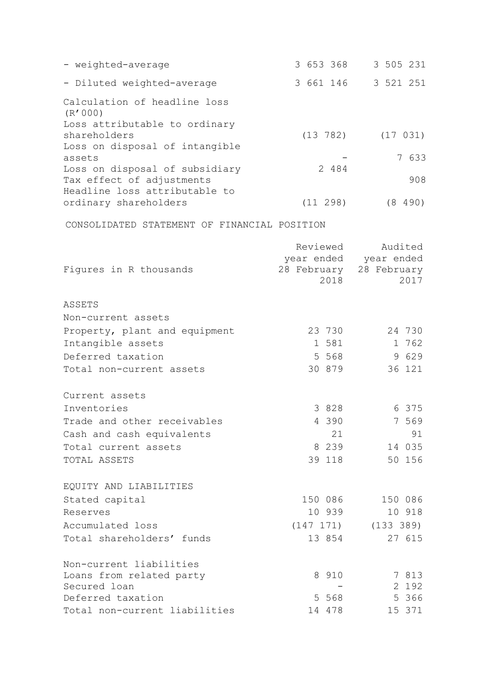| - weighted-average                                         | 3 653 368 | 3 505 231               |
|------------------------------------------------------------|-----------|-------------------------|
| - Diluted weighted-average                                 | 3 661 146 | 3 521 251               |
| Calculation of headline loss                               |           |                         |
| (R'000)                                                    |           |                         |
| Loss attributable to ordinary<br>shareholders              | (13 782)  | (17 031)                |
| Loss on disposal of intangible                             |           |                         |
| assets                                                     |           | 7 633                   |
| Loss on disposal of subsidiary                             | 2 484     | 908                     |
| Tax effect of adjustments<br>Headline loss attributable to |           |                         |
| ordinary shareholders                                      | (11 298)  | (8 490)                 |
| CONSOLIDATED STATEMENT OF FINANCIAL POSITION               |           |                         |
|                                                            | Reviewed  | Audited                 |
|                                                            |           | year ended year ended   |
| Figures in R thousands                                     |           | 28 February 28 February |
|                                                            | 2018      | 2017                    |
| ASSETS                                                     |           |                         |
| Non-current assets                                         |           |                         |
| Property, plant and equipment                              | 23 730    | 24 730                  |
| Intangible assets                                          | 1 581     | 1 762                   |
| Deferred taxation                                          | 5 5 6 8   | 9 629                   |
| Total non-current assets                                   | 30 879    | 36 121                  |
| Current assets                                             |           |                         |
| Inventories                                                | 3 828     | 6 375                   |
| Trade and other receivables                                | 4 3 9 0   | 7 569                   |
| Cash and cash equivalents                                  | 21        | 91                      |
| Total current assets                                       | 8 2 3 9   | 14 035                  |
| TOTAL ASSETS                                               | 39 118    | 50 156                  |
| EQUITY AND LIABILITIES                                     |           |                         |
| Stated capital                                             | 150 086   | 150 086                 |
| Reserves                                                   | 10 939    | 10 918                  |
| Accumulated loss                                           | (147 171) | (133 389)               |
| Total shareholders' funds                                  | 13 854    | 27 615                  |
| Non-current liabilities                                    |           |                         |
| Loans from related party                                   | 8 910     | 7 813                   |
| Secured loan                                               |           | 2 192                   |
| Deferred taxation                                          | 5 568     | 5 366                   |
| Total non-current liabilities                              | 14 478    | 15 371                  |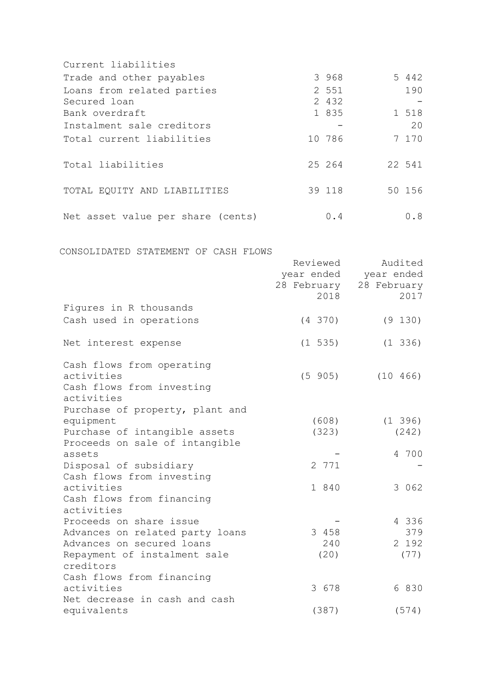| Current liabilities                  |          |              |                         |            |
|--------------------------------------|----------|--------------|-------------------------|------------|
| Trade and other payables             |          | 3 968        |                         | 5 442      |
| Loans from related parties           |          | 2 551        |                         | 190        |
| Secured loan                         |          | 2 432        |                         |            |
| Bank overdraft                       |          | 1 835        |                         | 1 518      |
|                                      |          |              |                         |            |
| Instalment sale creditors            |          |              |                         | 20         |
| Total current liabilities            |          | 10 786       |                         | 7 170      |
| Total liabilities                    |          | 25 264       |                         | 22 541     |
| TOTAL EQUITY AND LIABILITIES         |          | 39 118       |                         | 50 156     |
| Net asset value per share (cents)    |          | 0.4          |                         | 0.8        |
| CONSOLIDATED STATEMENT OF CASH FLOWS |          |              |                         |            |
|                                      | Reviewed |              |                         | Audited    |
|                                      |          |              | year ended year ended   |            |
|                                      |          |              | 28 February 28 February |            |
|                                      |          | 2018         |                         | 2017       |
| Figures in R thousands               |          |              |                         |            |
|                                      |          | $(4\;370)$   |                         | (9 130)    |
| Cash used in operations              |          |              |                         |            |
| Net interest expense                 |          | $(1\;\;535)$ |                         | $(1\;336)$ |
| Cash flows from operating            |          |              |                         |            |
| activities                           |          | (5 905)      | (10 466)                |            |
| Cash flows from investing            |          |              |                         |            |
| activities                           |          |              |                         |            |
| Purchase of property, plant and      |          |              |                         |            |
| equipment                            |          |              | (608)                   | $(1\;396)$ |
| Purchase of intangible assets        |          | (323)        |                         | (242)      |
| Proceeds on sale of intangible       |          |              |                         |            |
| assets                               |          |              |                         | 4 700      |
| Disposal of subsidiary               |          | 2 771        |                         |            |
| Cash flows from investing            |          |              |                         |            |
| activities                           |          | 1 840        |                         | 3 0 6 2    |
| Cash flows from financing            |          |              |                         |            |
| activities                           |          |              |                         |            |
| Proceeds on share issue              |          |              |                         | 4 336      |
| Advances on related party loans      |          | 3 458        |                         | 379        |
| Advances on secured loans            |          | 240          |                         | 2 192      |
| Repayment of instalment sale         |          | (20)         |                         | (77)       |
| creditors                            |          |              |                         |            |
| Cash flows from financing            |          |              |                         |            |
| activities                           |          | 3 678        |                         | 6 830      |
| Net decrease in cash and cash        |          |              |                         |            |
| equivalents                          |          | (387)        |                         | (574)      |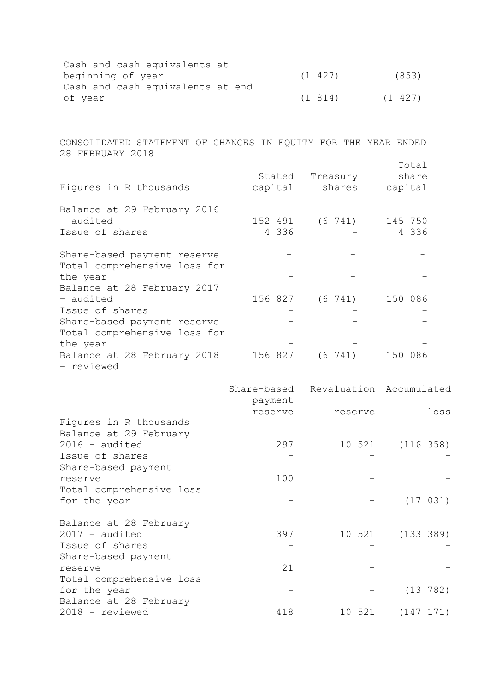| Cash and cash equivalents at     |         |         |
|----------------------------------|---------|---------|
| beginning of year                | (1 427) | (853)   |
| Cash and cash equivalents at end |         |         |
| of vear                          | (1814)  | (1 427) |

CONSOLIDATED STATEMENT OF CHANGES IN EQUITY FOR THE YEAR ENDED 28 FEBRUARY 2018

| Figures in R thousands                                                         | Stated<br>capital | Treasury<br>shares      | Total<br>share<br>capital |
|--------------------------------------------------------------------------------|-------------------|-------------------------|---------------------------|
| Balance at 29 February 2016<br>- audited<br>Issue of shares                    | 4 336             | 152 491 (6 741) 145 750 | 4 336                     |
| Share-based payment reserve<br>Total comprehensive loss for<br>the year        |                   |                         |                           |
| Balance at 28 February 2017<br>- audited                                       |                   | 156 827 (6 741) 150 086 |                           |
| Issue of shares<br>Share-based payment reserve<br>Total comprehensive loss for |                   |                         |                           |
| the year<br>Balance at 28 February 2018<br>- reviewed                          | 156 827           | $(6\ \ 741)$            | 150 086                   |

|                          | payment | Share-based Revaluation Accumulated |           |
|--------------------------|---------|-------------------------------------|-----------|
|                          | reserve | reserve                             | loss      |
| Figures in R thousands   |         |                                     |           |
| Balance at 29 February   |         |                                     |           |
| $2016 - \text{audited}$  | 297     | 10 521                              | (116 358) |
| Issue of shares          |         |                                     |           |
| Share-based payment      |         |                                     |           |
| reserve                  | 100     |                                     |           |
| Total comprehensive loss |         |                                     |           |
| for the year             |         |                                     | (17 031)  |
| Balance at 28 February   |         |                                     |           |
| $2017 - \text{audited}$  | 397     | 10 521                              | (133 389) |
| Issue of shares          |         |                                     |           |
| Share-based payment      |         |                                     |           |
| reserve                  | 21      |                                     |           |
| Total comprehensive loss |         |                                     |           |
| for the year             |         |                                     | (13 782)  |
| Balance at 28 February   |         |                                     |           |
| 2018 - reviewed          | 418     | 10 521                              | (147 171) |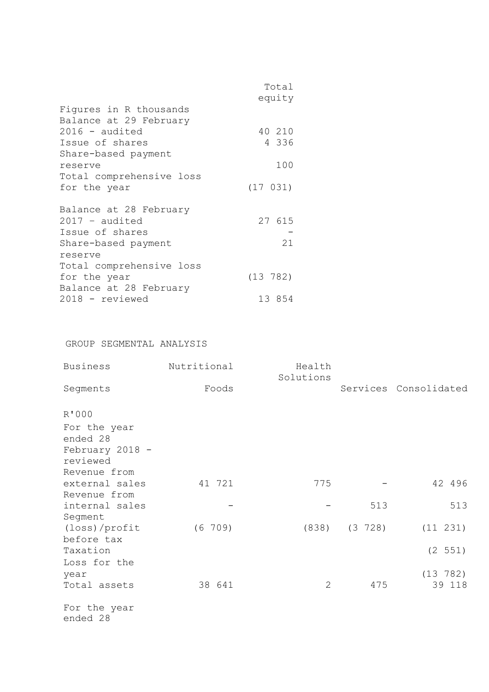|                          | Total    |  |
|--------------------------|----------|--|
|                          | equity   |  |
| Figures in R thousands   |          |  |
| Balance at 29 February   |          |  |
| $2016 - \text{audited}$  | 40 210   |  |
| Issue of shares          | 4 336    |  |
| Share-based payment      |          |  |
| reserve                  | 100      |  |
| Total comprehensive loss |          |  |
| for the year             | (17 031) |  |
|                          |          |  |
| Balance at 28 February   |          |  |
| $2017 - \text{audited}$  | 27 615   |  |
| Issue of shares          |          |  |
| Share-based payment      | 21       |  |
| reserve                  |          |  |
| Total comprehensive loss |          |  |
| for the year             | (13 782) |  |
| Balance at 28 February   |          |  |
| 2018 - reviewed          | 13 854   |  |
|                          |          |  |

# GROUP SEGMENTAL ANALYSIS

| <b>Business</b>                                                                  | Nutritional | Health<br>Solutions |             |                       |
|----------------------------------------------------------------------------------|-------------|---------------------|-------------|-----------------------|
| Segments                                                                         | Foods       |                     |             | Services Consolidated |
| R'000<br>For the year<br>ended 28<br>February 2018 -<br>reviewed<br>Revenue from |             |                     |             |                       |
| external sales<br>Revenue from                                                   | 41 721      | 775                 |             | 42 496                |
| internal sales<br>Segment                                                        |             |                     | 513         | 513                   |
| (loss)/profit<br>before tax                                                      | (6 709)     | (838)               | $(3 \t728)$ | $(11 \t231)$          |
| Taxation<br>Loss for the                                                         |             |                     |             | (2 551)               |
| year<br>Total assets                                                             | 38 641      | 2                   | 475         | (13 782)<br>39 118    |
| For the year<br>ended 28                                                         |             |                     |             |                       |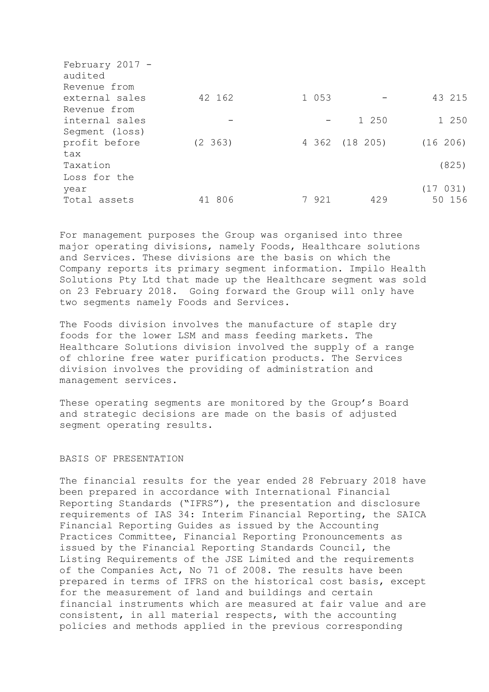| February 2017 - |          |         |                |          |
|-----------------|----------|---------|----------------|----------|
| audited         |          |         |                |          |
| Revenue from    |          |         |                |          |
| external sales  | 42 162   | 1 0 5 3 |                | 43 215   |
| Revenue from    |          |         |                |          |
| internal sales  |          |         | 1 250          | 1 250    |
| Segment (loss)  |          |         |                |          |
| profit before   | (2, 363) |         | 4 362 (18 205) | (16 206) |
| tax             |          |         |                |          |
| Taxation        |          |         |                | (825)    |
| Loss for the    |          |         |                |          |
| year            |          |         |                | (17 031) |
| Total assets    | 41 806   | 7 921   | 429            | 50 156   |
|                 |          |         |                |          |

For management purposes the Group was organised into three major operating divisions, namely Foods, Healthcare solutions and Services. These divisions are the basis on which the Company reports its primary segment information. Impilo Health Solutions Pty Ltd that made up the Healthcare segment was sold on 23 February 2018. Going forward the Group will only have two segments namely Foods and Services.

The Foods division involves the manufacture of staple dry foods for the lower LSM and mass feeding markets. The Healthcare Solutions division involved the supply of a range of chlorine free water purification products. The Services division involves the providing of administration and management services.

These operating segments are monitored by the Group's Board and strategic decisions are made on the basis of adjusted segment operating results.

# BASIS OF PRESENTATION

The financial results for the year ended 28 February 2018 have been prepared in accordance with International Financial Reporting Standards ("IFRS"), the presentation and disclosure requirements of IAS 34: Interim Financial Reporting, the SAICA Financial Reporting Guides as issued by the Accounting Practices Committee, Financial Reporting Pronouncements as issued by the Financial Reporting Standards Council, the Listing Requirements of the JSE Limited and the requirements of the Companies Act, No 71 of 2008. The results have been prepared in terms of IFRS on the historical cost basis, except for the measurement of land and buildings and certain financial instruments which are measured at fair value and are consistent, in all material respects, with the accounting policies and methods applied in the previous corresponding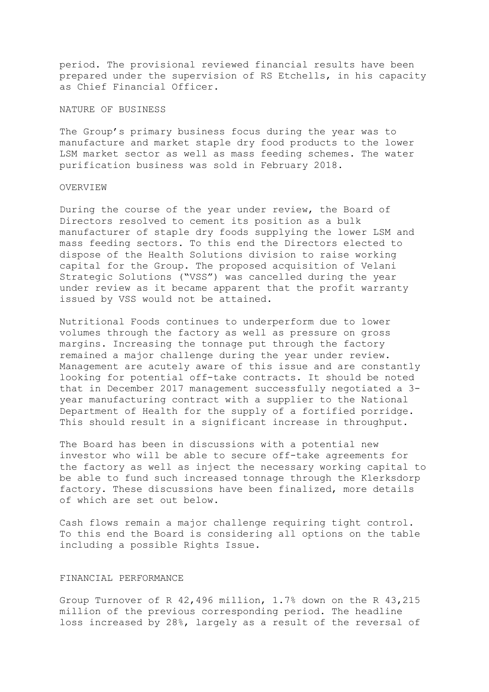period. The provisional reviewed financial results have been prepared under the supervision of RS Etchells, in his capacity as Chief Financial Officer.

## NATURE OF BUSINESS

The Group's primary business focus during the year was to manufacture and market staple dry food products to the lower LSM market sector as well as mass feeding schemes. The water purification business was sold in February 2018.

## OVERVIEW

During the course of the year under review, the Board of Directors resolved to cement its position as a bulk manufacturer of staple dry foods supplying the lower LSM and mass feeding sectors. To this end the Directors elected to dispose of the Health Solutions division to raise working capital for the Group. The proposed acquisition of Velani Strategic Solutions ("VSS") was cancelled during the year under review as it became apparent that the profit warranty issued by VSS would not be attained.

Nutritional Foods continues to underperform due to lower volumes through the factory as well as pressure on gross margins. Increasing the tonnage put through the factory remained a major challenge during the year under review. Management are acutely aware of this issue and are constantly looking for potential off-take contracts. It should be noted that in December 2017 management successfully negotiated a 3 year manufacturing contract with a supplier to the National Department of Health for the supply of a fortified porridge. This should result in a significant increase in throughput.

The Board has been in discussions with a potential new investor who will be able to secure off-take agreements for the factory as well as inject the necessary working capital to be able to fund such increased tonnage through the Klerksdorp factory. These discussions have been finalized, more details of which are set out below.

Cash flows remain a major challenge requiring tight control. To this end the Board is considering all options on the table including a possible Rights Issue.

## FINANCIAL PERFORMANCE

Group Turnover of R 42,496 million, 1.7% down on the R 43,215 million of the previous corresponding period. The headline loss increased by 28%, largely as a result of the reversal of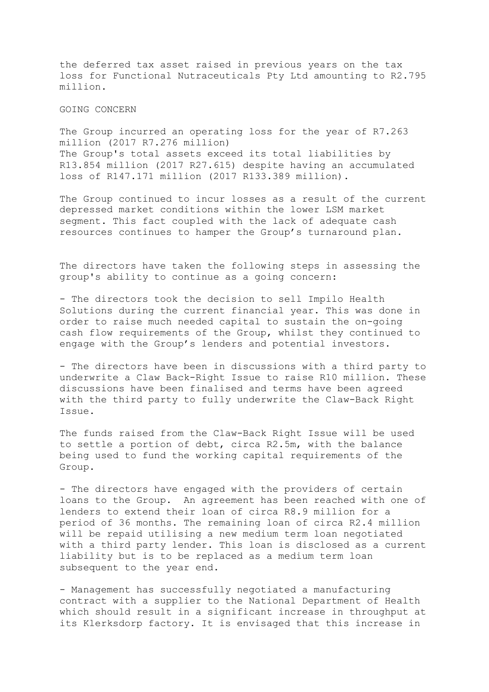the deferred tax asset raised in previous years on the tax loss for Functional Nutraceuticals Pty Ltd amounting to R2.795 million.

## GOING CONCERN

The Group incurred an operating loss for the year of R7.263 million (2017 R7.276 million) The Group's total assets exceed its total liabilities by R13.854 million (2017 R27.615) despite having an accumulated loss of R147.171 million (2017 R133.389 million).

The Group continued to incur losses as a result of the current depressed market conditions within the lower LSM market segment. This fact coupled with the lack of adequate cash resources continues to hamper the Group's turnaround plan.

The directors have taken the following steps in assessing the group's ability to continue as a going concern:

- The directors took the decision to sell Impilo Health Solutions during the current financial year. This was done in order to raise much needed capital to sustain the on-going cash flow requirements of the Group, whilst they continued to engage with the Group's lenders and potential investors.

- The directors have been in discussions with a third party to underwrite a Claw Back-Right Issue to raise R10 million. These discussions have been finalised and terms have been agreed with the third party to fully underwrite the Claw-Back Right Issue.

The funds raised from the Claw-Back Right Issue will be used to settle a portion of debt, circa R2.5m, with the balance being used to fund the working capital requirements of the Group.

- The directors have engaged with the providers of certain loans to the Group. An agreement has been reached with one of lenders to extend their loan of circa R8.9 million for a period of 36 months. The remaining loan of circa R2.4 million will be repaid utilising a new medium term loan negotiated with a third party lender. This loan is disclosed as a current liability but is to be replaced as a medium term loan subsequent to the year end.

- Management has successfully negotiated a manufacturing contract with a supplier to the National Department of Health which should result in a significant increase in throughput at its Klerksdorp factory. It is envisaged that this increase in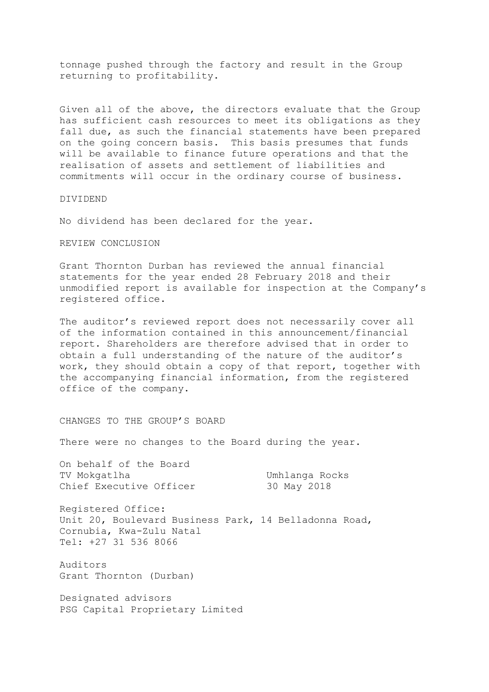tonnage pushed through the factory and result in the Group returning to profitability.

Given all of the above, the directors evaluate that the Group has sufficient cash resources to meet its obligations as they fall due, as such the financial statements have been prepared on the going concern basis. This basis presumes that funds will be available to finance future operations and that the realisation of assets and settlement of liabilities and commitments will occur in the ordinary course of business.

## DIVIDEND

No dividend has been declared for the year.

## REVIEW CONCLUSION

Grant Thornton Durban has reviewed the annual financial statements for the year ended 28 February 2018 and their unmodified report is available for inspection at the Company's registered office.

The auditor's reviewed report does not necessarily cover all of the information contained in this announcement/financial report. Shareholders are therefore advised that in order to obtain a full understanding of the nature of the auditor's work, they should obtain a copy of that report, together with the accompanying financial information, from the registered office of the company.

# CHANGES TO THE GROUP'S BOARD

There were no changes to the Board during the year.

On behalf of the Board TV Mokgatlha Umhlanga Rocks Chief Executive Officer 30 May 2018

Registered Office: Unit 20, Boulevard Business Park, 14 Belladonna Road, Cornubia, Kwa-Zulu Natal Tel: +27 31 536 8066

Auditors Grant Thornton (Durban)

Designated advisors PSG Capital Proprietary Limited